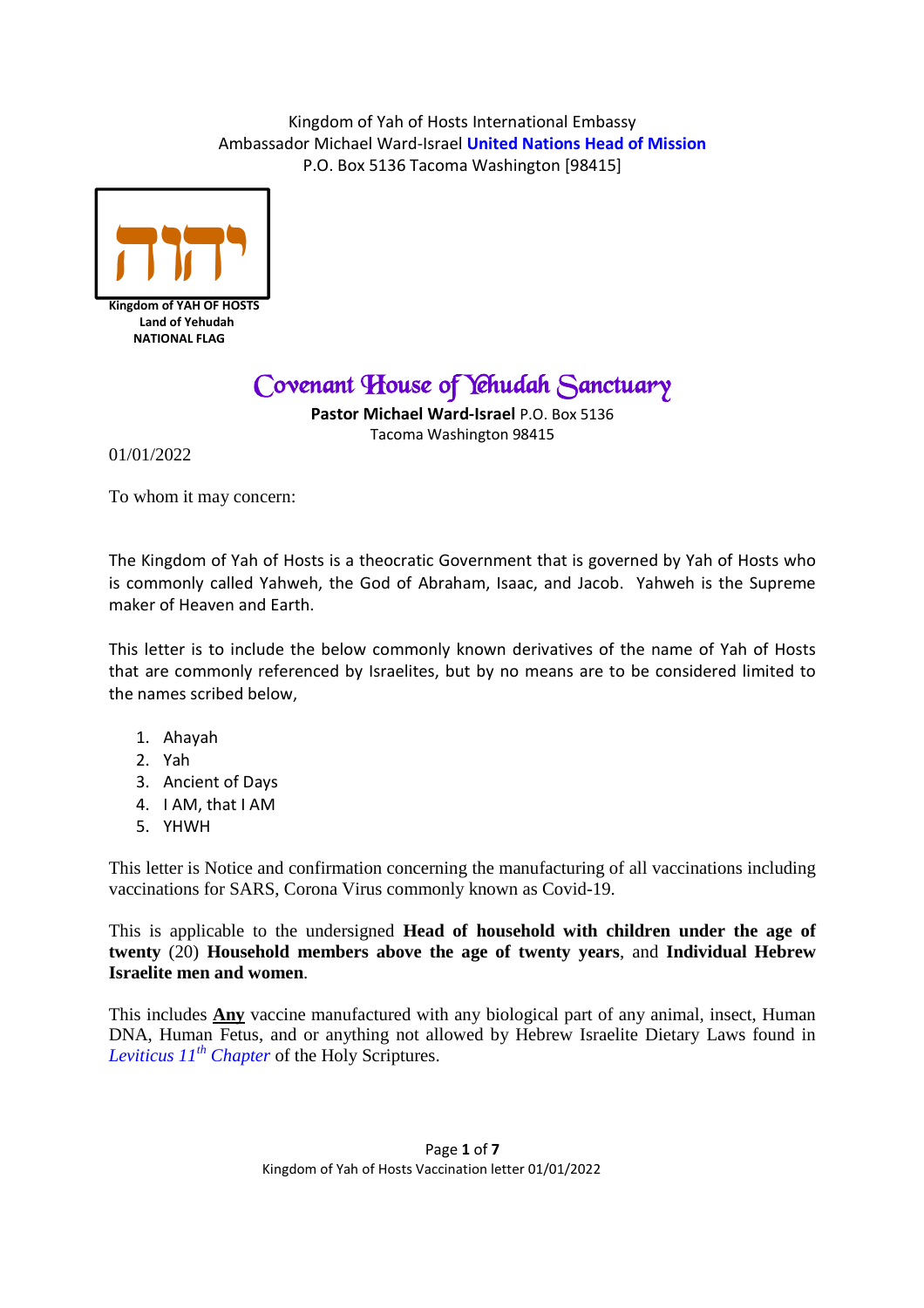

**Kingdom of YAH OF HOSTS Land of Yehudah NATIONAL FLAG**

# *Covenant House of Yehudah Sanctuary*

**Pastor Michael Ward-Israel** P.O. Box 5136 Tacoma Washington 98415

01/01/2022

To whom it may concern:

The Kingdom of Yah of Hosts is a theocratic Government that is governed by Yah of Hosts who is commonly called Yahweh, the God of Abraham, Isaac, and Jacob. Yahweh is the Supreme maker of Heaven and Earth.

This letter is to include the below commonly known derivatives of the name of Yah of Hosts that are commonly referenced by Israelites, but by no means are to be considered limited to the names scribed below,

- 1. Ahayah
- 2. Yah
- 3. Ancient of Days
- 4. I AM, that I AM
- 5. YHWH

This letter is Notice and confirmation concerning the manufacturing of all vaccinations including vaccinations for SARS, Corona Virus commonly known as Covid-19.

This is applicable to the undersigned **Head of household with children under the age of twenty** (20) **Household members above the age of twenty years**, and **Individual Hebrew Israelite men and women**.

This includes **Any** vaccine manufactured with any biological part of any animal, insect, Human DNA, Human Fetus, and or anything not allowed by Hebrew Israelite Dietary Laws found in *Leviticus 11th Chapter* of the Holy Scriptures.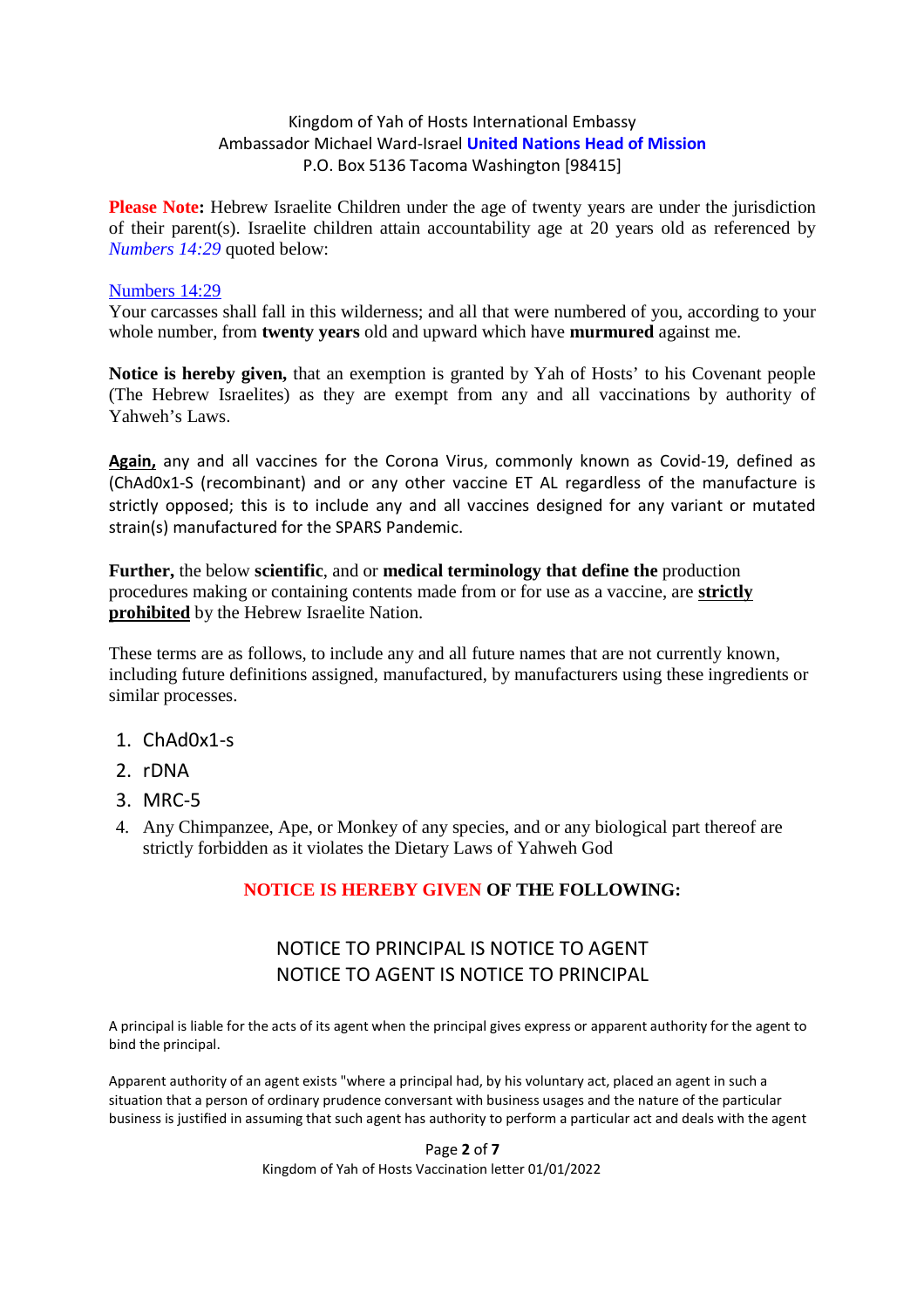**Please Note:** Hebrew Israelite Children under the age of twenty years are under the jurisdiction of their parent(s). Israelite children attain accountability age at 20 years old as referenced by *Numbers 14:29* quoted below:

#### Numbers 14:29

Your carcasses shall fall in this wilderness; and all that were numbered of you, according to your whole number, from **twenty years** old and upward which have **murmured** against me.

**Notice is hereby given,** that an exemption is granted by Yah of Hosts' to his Covenant people (The Hebrew Israelites) as they are exempt from any and all vaccinations by authority of Yahweh's Laws.

**Again,** any and all vaccines for the Corona Virus, commonly known as Covid-19, defined as (ChAd0x1-S (recombinant) and or any other vaccine ET AL regardless of the manufacture is strictly opposed; this is to include any and all vaccines designed for any variant or mutated strain(s) manufactured for the SPARS Pandemic.

**Further,** the below **scientific**, and or **medical terminology that define the** production procedures making or containing contents made from or for use as a vaccine, are **strictly prohibited** by the Hebrew Israelite Nation.

These terms are as follows, to include any and all future names that are not currently known, including future definitions assigned, manufactured, by manufacturers using these ingredients or similar processes.

- 1. ChAd0x1-s
- 2. rDNA
- 3. MRC-5
- 4. Any Chimpanzee, Ape, or Monkey of any species, and or any biological part thereof are strictly forbidden as it violates the Dietary Laws of Yahweh God

#### **NOTICE IS HEREBY GIVEN OF THE FOLLOWING:**

## NOTICE TO PRINCIPAL IS NOTICE TO AGENT NOTICE TO AGENT IS NOTICE TO PRINCIPAL

A principal is liable for the acts of its agent when the principal gives express or apparent authority for the agent to bind the principal.

Apparent authority of an agent exists "where a principal had, by his voluntary act, placed an agent in such a situation that a person of ordinary prudence conversant with business usages and the nature of the particular business is justified in assuming that such agent has authority to perform a particular act and deals with the agent

> Page **2** of **7** Kingdom of Yah of Hosts Vaccination letter 01/01/2022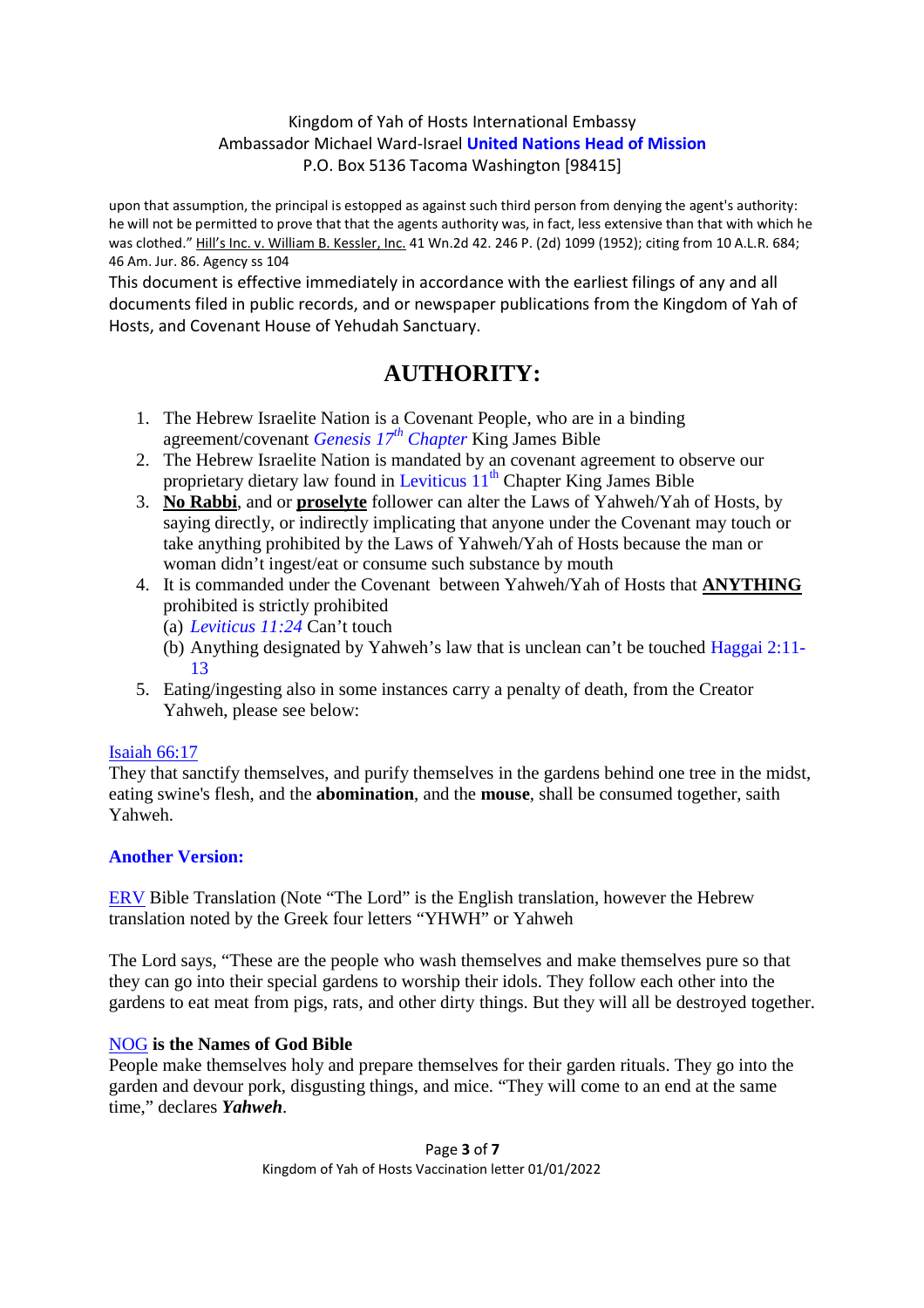upon that assumption, the principal is estopped as against such third person from denying the agent's authority: he will not be permitted to prove that that the agents authority was, in fact, less extensive than that with which he was clothed." Hill's Inc. v. William B. Kessler, Inc. 41 Wn.2d 42. 246 P. (2d) 1099 (1952); citing from 10 A.L.R. 684; 46 Am. Jur. 86. Agency ss 104

This document is effective immediately in accordance with the earliest filings of any and all documents filed in public records, and or newspaper publications from the Kingdom of Yah of Hosts, and Covenant House of Yehudah Sanctuary.

## **AUTHORITY:**

- 1. The Hebrew Israelite Nation is a Covenant People, who are in a binding agreement/covenant *Genesis 17th Chapter* King James Bible
- 2. The Hebrew Israelite Nation is mandated by an covenant agreement to observe our proprietary dietary law found in Leviticus  $11<sup>th</sup>$  Chapter King James Bible
- 3. **No Rabbi**, and or **proselyte** follower can alter the Laws of Yahweh/Yah of Hosts, by saying directly, or indirectly implicating that anyone under the Covenant may touch or take anything prohibited by the Laws of Yahweh/Yah of Hosts because the man or woman didn't ingest/eat or consume such substance by mouth
- 4. It is commanded under the Covenant between Yahweh/Yah of Hosts that **ANYTHING** prohibited is strictly prohibited
	- (a) *Leviticus 11:24* Can't touch
	- (b) Anything designated by Yahweh's law that is unclean can't be touched Haggai 2:11- 13
- 5. Eating/ingesting also in some instances carry a penalty of death, from the Creator Yahweh, please see below:

#### Isaiah 66:17

They that sanctify themselves, and purify themselves in the gardens behind one tree in the midst, eating swine's flesh, and the **abomination**, and the **mouse**, shall be consumed together, saith Yahweh.

#### **Another Version:**

ERV Bible Translation (Note "The Lord" is the English translation, however the Hebrew translation noted by the Greek four letters "YHWH" or Yahweh

The Lord says, "These are the people who wash themselves and make themselves pure so that they can go into their special gardens to worship their idols. They follow each other into the gardens to eat meat from pigs, rats, and other dirty things. But they will all be destroyed together.

#### NOG **is the Names of God Bible**

People make themselves holy and prepare themselves for their garden rituals. They go into the garden and devour pork, disgusting things, and mice. "They will come to an end at the same time," declares *Yahweh*.

> Page **3** of **7** Kingdom of Yah of Hosts Vaccination letter 01/01/2022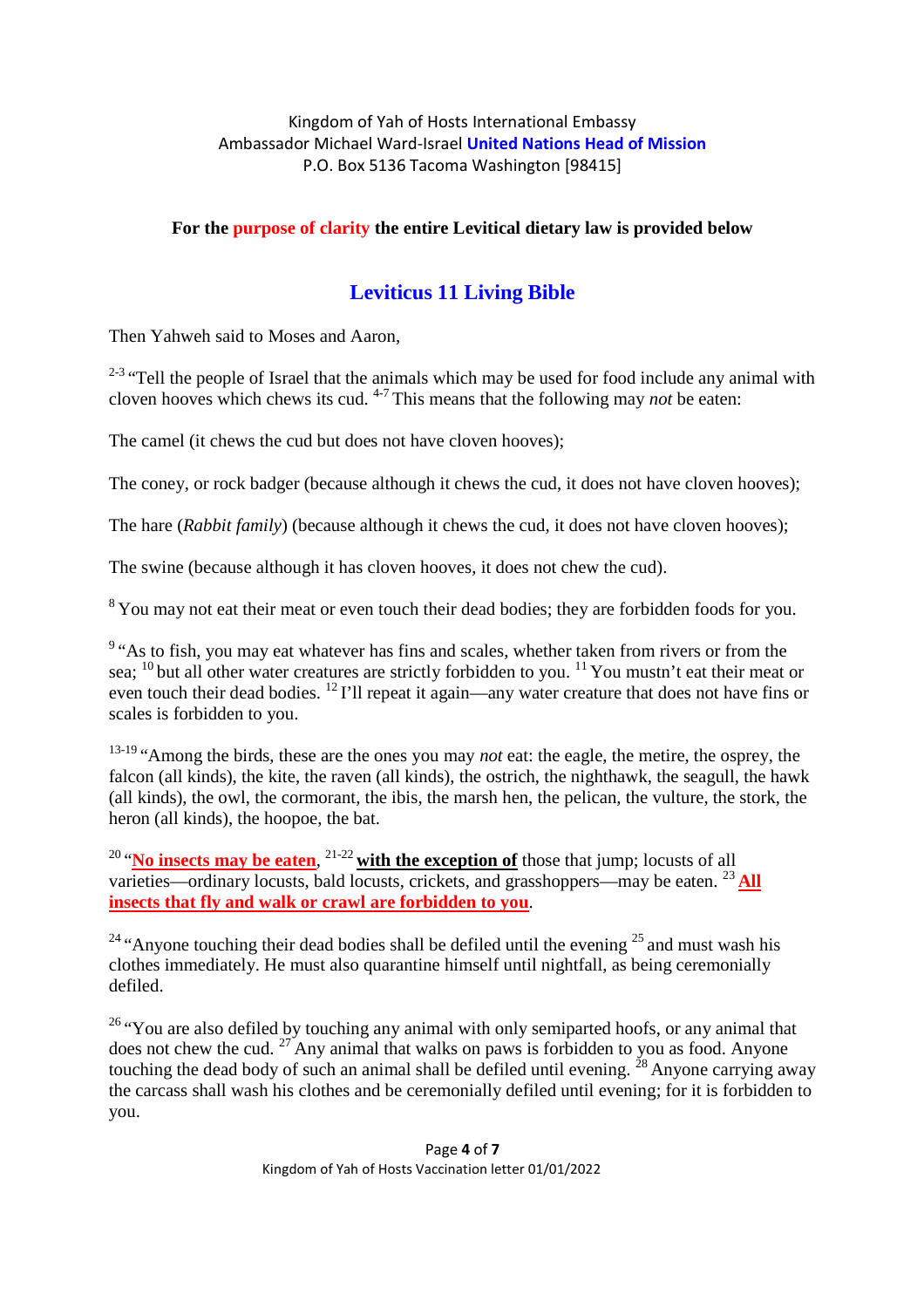#### **For the purpose of clarity the entire Levitical dietary law is provided below**

## **Leviticus 11 Living Bible**

Then Yahweh said to Moses and Aaron,

 $2-3$  "Tell the people of Israel that the animals which may be used for food include any animal with cloven hooves which chews its cud. 4-7 This means that the following may *not* be eaten:

The camel (it chews the cud but does not have cloven hooves);

The coney, or rock badger (because although it chews the cud, it does not have cloven hooves);

The hare (*Rabbit family*) (because although it chews the cud, it does not have cloven hooves);

The swine (because although it has cloven hooves, it does not chew the cud).

<sup>8</sup> You may not eat their meat or even touch their dead bodies; they are forbidden foods for you.

<sup>9</sup> "As to fish, you may eat whatever has fins and scales, whether taken from rivers or from the sea; <sup>10</sup> but all other water creatures are strictly forbidden to you. <sup>11</sup> You mustn't eat their meat or even touch their dead bodies. <sup>12</sup> I'll repeat it again—any water creature that does not have fins or scales is forbidden to you.

<sup>13-19</sup> "Among the birds, these are the ones you may *not* eat: the eagle, the metire, the osprey, the falcon (all kinds), the kite, the raven (all kinds), the ostrich, the nighthawk, the seagull, the hawk (all kinds), the owl, the cormorant, the ibis, the marsh hen, the pelican, the vulture, the stork, the heron (all kinds), the hoopoe, the bat.

<sup>20</sup> "No insects may be eaten, <sup>21-22</sup> with the exception of those that jump; locusts of all varieties—ordinary locusts, bald locusts, crickets, and grasshoppers—may be eaten. <sup>23</sup> **All insects that fly and walk or crawl are forbidden to you**.

<sup>24</sup> "Anyone touching their dead bodies shall be defiled until the evening  $^{25}$  and must wash his clothes immediately. He must also quarantine himself until nightfall, as being ceremonially defiled.

 $26$  "You are also defiled by touching any animal with only semiparted hoofs, or any animal that does not chew the cud.  $27$  Any animal that walks on paws is forbidden to you as food. Anyone touching the dead body of such an animal shall be defiled until evening.  $^{28}$  Anyone carrying away the carcass shall wash his clothes and be ceremonially defiled until evening; for it is forbidden to you.

> Page **4** of **7** Kingdom of Yah of Hosts Vaccination letter 01/01/2022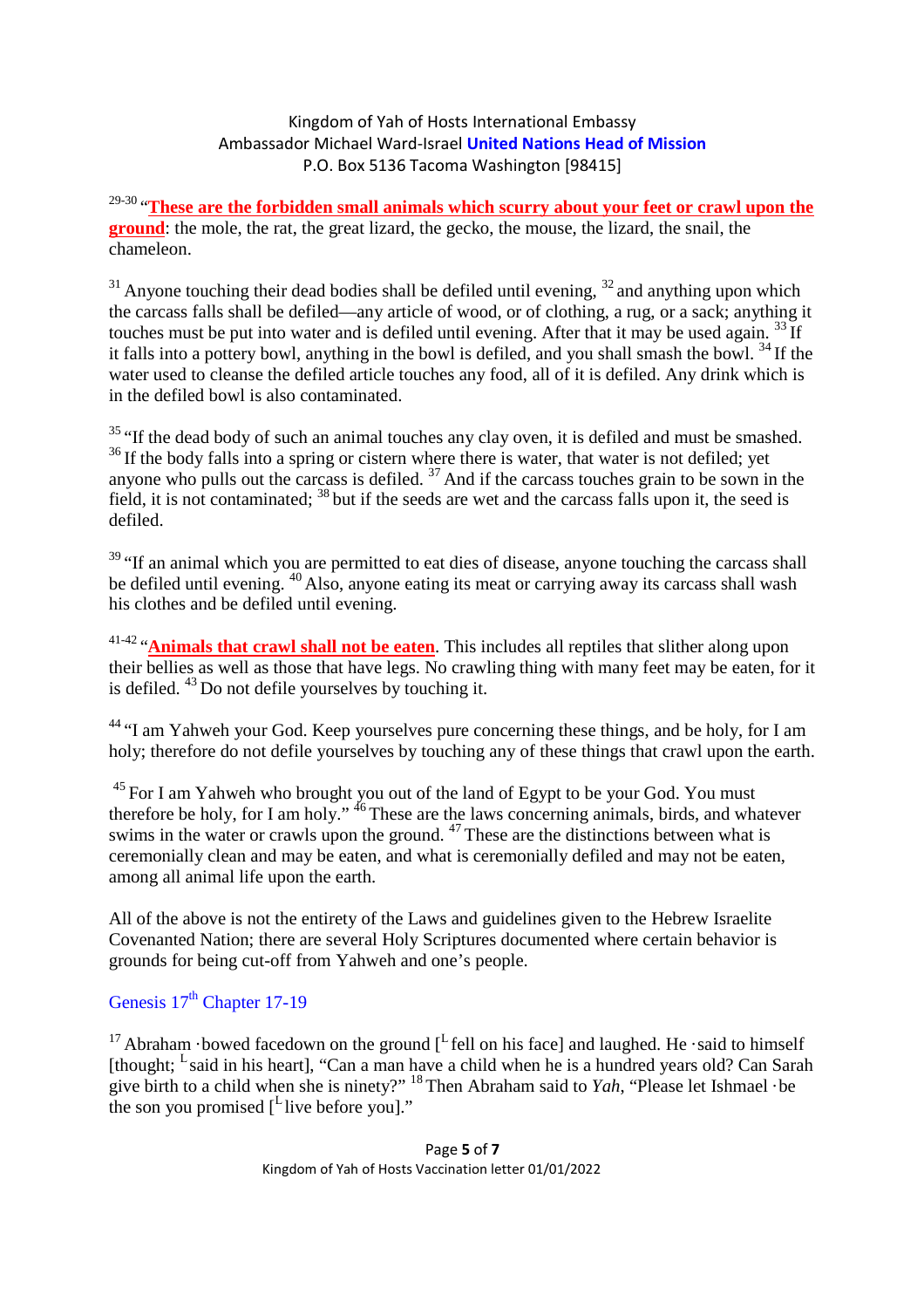<sup>29-30</sup> "These are the forbidden small animals which scurry about your feet or crawl upon the **ground**: the mole, the rat, the great lizard, the gecko, the mouse, the lizard, the snail, the chameleon.

 $31$  Anyone touching their dead bodies shall be defiled until evening,  $32$  and anything upon which the carcass falls shall be defiled—any article of wood, or of clothing, a rug, or a sack; anything it touches must be put into water and is defiled until evening. After that it may be used again. <sup>33</sup> If it falls into a pottery bowl, anything in the bowl is defiled, and you shall smash the bowl. <sup>34</sup> If the water used to cleanse the defiled article touches any food, all of it is defiled. Any drink which is in the defiled bowl is also contaminated.

 $35$  "If the dead body of such an animal touches any clay oven, it is defiled and must be smashed.  $36$  If the body falls into a spring or cistern where there is water, that water is not defiled; yet anyone who pulls out the carcass is defiled.  $37$  And if the carcass touches grain to be sown in the field, it is not contaminated; <sup>38</sup> but if the seeds are wet and the carcass falls upon it, the seed is defiled.

 $39$  "If an animal which you are permitted to eat dies of disease, anyone touching the carcass shall be defiled until evening. <sup>40</sup> Also, anyone eating its meat or carrying away its carcass shall wash his clothes and be defiled until evening.

41-42 "**Animals that crawl shall not be eaten**. This includes all reptiles that slither along upon their bellies as well as those that have legs. No crawling thing with many feet may be eaten, for it is defiled.  $43$  Do not defile yourselves by touching it.

<sup>44</sup> "I am Yahweh your God. Keep yourselves pure concerning these things, and be holy, for I am holy; therefore do not defile yourselves by touching any of these things that crawl upon the earth.

 $^{45}$  For I am Yahweh who brought you out of the land of Egypt to be your God. You must therefore be holy, for I am holy."  $46$  These are the laws concerning animals, birds, and whatever swims in the water or crawls upon the ground. <sup>47</sup> These are the distinctions between what is ceremonially clean and may be eaten, and what is ceremonially defiled and may not be eaten, among all animal life upon the earth.

All of the above is not the entirety of the Laws and guidelines given to the Hebrew Israelite Covenanted Nation; there are several Holy Scriptures documented where certain behavior is grounds for being cut-off from Yahweh and one's people.

## Genesis  $17<sup>th</sup>$  Chapter 17-19

<sup>17</sup> Abraham · bowed facedown on the ground  $\int_{0}^{L}$  fell on his face] and laughed. He · said to himself [thought; <sup>L</sup> said in his heart], "Can a man have a child when he is a hundred years old? Can Sarah give birth to a child when she is ninety?"<sup>18</sup> Then Abraham said to *Yah*, "Please let Ishmael ·be the son you promised  $[$ <sup>L</sup> live before you]."

> Page **5** of **7** Kingdom of Yah of Hosts Vaccination letter 01/01/2022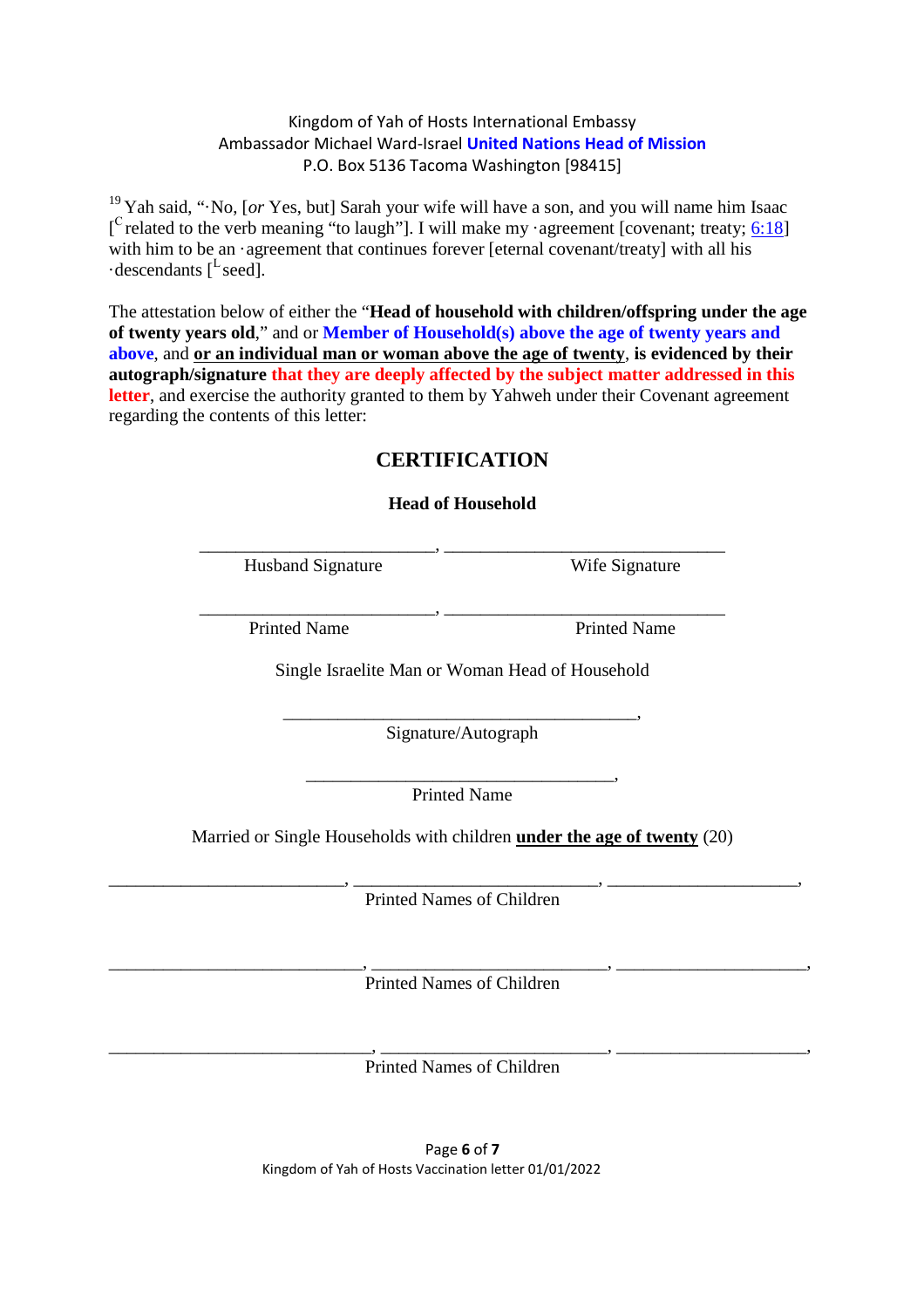<sup>19</sup> Yah said, "·No, [*or* Yes, but] Sarah your wife will have a son, and you will name him Isaac [<sup>C</sup> related to the verb meaning "to laugh"]. I will make my ·agreement [covenant; treaty;  $6:18$ ] with him to be an ·agreement that continues forever [eternal covenant/treaty] with all his  $\cdot$  descendants [<sup>L</sup> seed].

The attestation below of either the "**Head of household with children/offspring under the age of twenty years old**," and or **Member of Household(s) above the age of twenty years and above**, and **or an individual man or woman above the age of twenty**, **is evidenced by their autograph/signature that they are deeply affected by the subject matter addressed in this** letter, and exercise the authority granted to them by Yahweh under their Covenant agreement regarding the contents of this letter:

### **CERTIFICATION**

**Head of Household**

| <b>Husband Signature</b> | Wife<br>Sionature |
|--------------------------|-------------------|

Wife Signature

Printed Name Printed Name

Single Israelite Man or Woman Head of Household

\_\_\_\_\_\_\_\_\_\_\_\_\_\_\_\_\_\_\_\_\_\_\_\_\_\_, \_\_\_\_\_\_\_\_\_\_\_\_\_\_\_\_\_\_\_\_\_\_\_\_\_\_\_\_\_\_\_

\_\_\_\_\_\_\_\_\_\_\_\_\_\_\_\_\_\_\_\_\_\_\_\_\_\_\_\_\_\_\_\_\_\_\_\_\_\_\_, Signature/Autograph

\_\_\_\_\_\_\_\_\_\_\_\_\_\_\_\_\_\_\_\_\_\_\_\_\_\_\_\_\_\_\_\_\_\_, Printed Name

Married or Single Households with children **under the age of twenty** (20)

\_\_\_\_\_\_\_\_\_\_\_\_\_\_\_\_\_\_\_\_\_\_\_\_\_\_, \_\_\_\_\_\_\_\_\_\_\_\_\_\_\_\_\_\_\_\_\_\_\_\_\_\_\_, \_\_\_\_\_\_\_\_\_\_\_\_\_\_\_\_\_\_\_\_\_, Printed Names of Children

\_\_\_\_\_\_\_\_\_\_\_\_\_\_\_\_\_\_\_\_\_\_\_\_\_\_\_\_, \_\_\_\_\_\_\_\_\_\_\_\_\_\_\_\_\_\_\_\_\_\_\_\_\_\_, \_\_\_\_\_\_\_\_\_\_\_\_\_\_\_\_\_\_\_\_\_, Printed Names of Children

\_\_\_\_\_\_\_\_\_\_\_\_\_\_\_\_\_\_\_\_\_\_\_\_\_\_\_\_\_, \_\_\_\_\_\_\_\_\_\_\_\_\_\_\_\_\_\_\_\_\_\_\_\_\_, \_\_\_\_\_\_\_\_\_\_\_\_\_\_\_\_\_\_\_\_\_, Printed Names of Children

> Page **6** of **7** Kingdom of Yah of Hosts Vaccination letter 01/01/2022